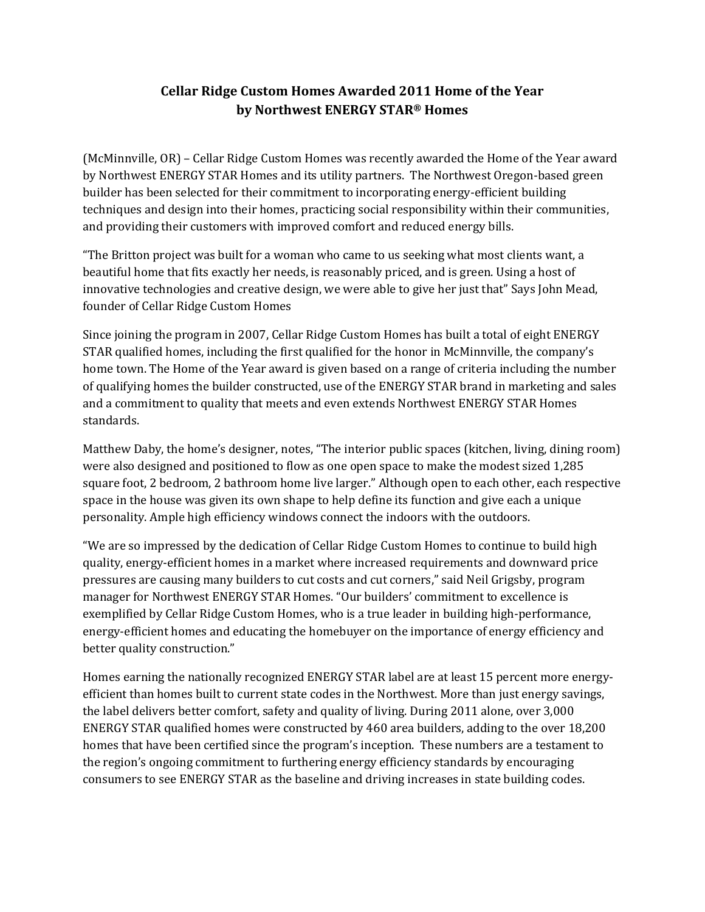## **Cellar Ridge Custom Homes Awarded 2011 Home of the Year by Northwest ENERGY STAR® Homes**

(McMinnville, OR) – Cellar Ridge Custom Homes was recently awarded the Home of the Year award by Northwest ENERGY STAR Homes and its utility partners. The Northwest Oregon-based green builder has been selected for their commitment to incorporating energy-efficient building techniques and design into their homes, practicing social responsibility within their communities, and providing their customers with improved comfort and reduced energy bills.

"The Britton project was built for a woman who came to us seeking what most clients want, a beautiful home that fits exactly her needs, is reasonably priced, and is green. Using a host of innovative technologies and creative design, we were able to give her just that" Says John Mead, founder of Cellar Ridge Custom Homes

Since joining the program in 2007, Cellar Ridge Custom Homes has built a total of eight ENERGY STAR qualified homes, including the first qualified for the honor in McMinnville, the company's home town. The Home of the Year award is given based on a range of criteria including the number of qualifying homes the builder constructed, use of the ENERGY STAR brand in marketing and sales and a commitment to quality that meets and even extends Northwest ENERGY STAR Homes standards.

Matthew Daby, the home's designer, notes, "The interior public spaces (kitchen, living, dining room) were also designed and positioned to flow as one open space to make the modest sized 1,285 square foot, 2 bedroom, 2 bathroom home live larger." Although open to each other, each respective space in the house was given its own shape to help define its function and give each a unique personality. Ample high efficiency windows connect the indoors with the outdoors.

"We are so impressed by the dedication of Cellar Ridge Custom Homes to continue to build high quality, energy-efficient homes in a market where increased requirements and downward price pressures are causing many builders to cut costs and cut corners," said Neil Grigsby, program manager for Northwest ENERGY STAR Homes. "Our builders' commitment to excellence is exemplified by Cellar Ridge Custom Homes, who is a true leader in building high-performance, energy-efficient homes and educating the homebuyer on the importance of energy efficiency and better quality construction."

Homes earning the nationally recognized ENERGY STAR label are at least 15 percent more energyefficient than homes built to current state codes in the Northwest. More than just energy savings, the label delivers better comfort, safety and quality of living. During 2011 alone, over 3,000 ENERGY STAR qualified homes were constructed by 460 area builders, adding to the over 18,200 homes that have been certified since the program's inception. These numbers are a testament to the region's ongoing commitment to furthering energy efficiency standards by encouraging consumers to see ENERGY STAR as the baseline and driving increases in state building codes.